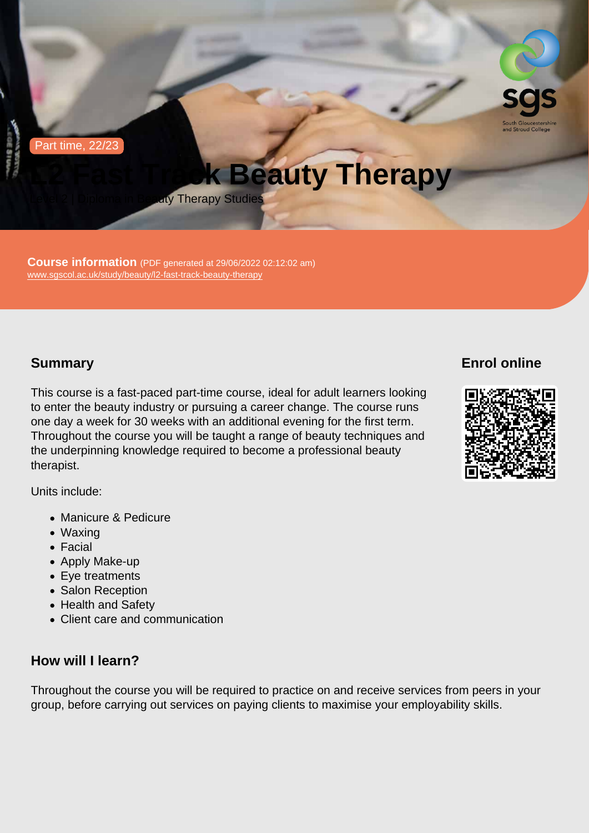Part time, 22/23

# L2 Fast Track Beauty Therapy

Level 2 | Diploma in Beauty Therapy Studies

Course information (PDF generated at 29/06/2022 02:12:02 am) [www.sgscol.ac.uk/study/beauty/l2-fast-track-beauty-therapy](https://www.sgscol.ac.uk/study/beauty/l2-fast-track-beauty-therapy)

## Summary

This course is a fast-paced part-time course, ideal for adult learners looking to enter the beauty industry or pursuing a career change. The course runs one day a week for 30 weeks with an additional evening for the first term. Throughout the course you will be taught a range of beauty techniques and the underpinning knowledge required to become a professional beauty therapist.

Units include:

- Manicure & Pedicure
- Waxing
- Facial
- Apply Make-up
- Eye treatments
- Salon Reception
- Health and Safety
- Client care and communication

### How will I learn?

Throughout the course you will be required to practice on and receive services from peers in your group, before carrying out services on paying clients to maximise your employability skills.

## Enrol online